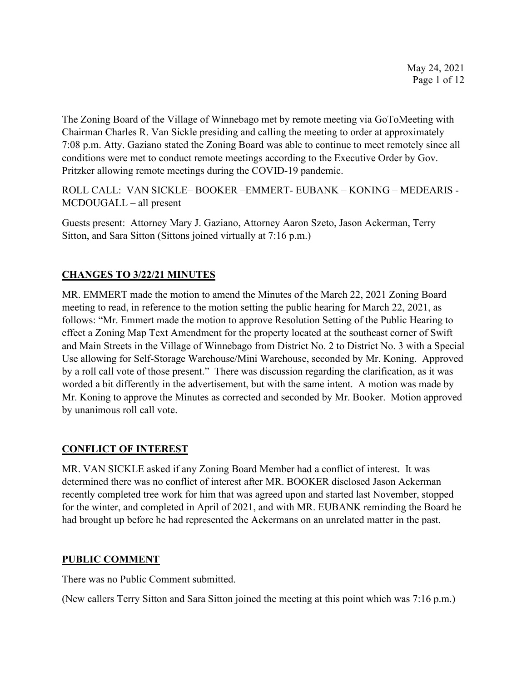The Zoning Board of the Village of Winnebago met by remote meeting via GoToMeeting with Chairman Charles R. Van Sickle presiding and calling the meeting to order at approximately 7:08 p.m. Atty. Gaziano stated the Zoning Board was able to continue to meet remotely since all conditions were met to conduct remote meetings according to the Executive Order by Gov. Pritzker allowing remote meetings during the COVID-19 pandemic.

ROLL CALL: VAN SICKLE– BOOKER –EMMERT- EUBANK – KONING – MEDEARIS - MCDOUGALL – all present

Guests present: Attorney Mary J. Gaziano, Attorney Aaron Szeto, Jason Ackerman, Terry Sitton, and Sara Sitton (Sittons joined virtually at 7:16 p.m.)

# **CHANGES TO 3/22/21 MINUTES**

MR. EMMERT made the motion to amend the Minutes of the March 22, 2021 Zoning Board meeting to read, in reference to the motion setting the public hearing for March 22, 2021, as follows: "Mr. Emmert made the motion to approve Resolution Setting of the Public Hearing to effect a Zoning Map Text Amendment for the property located at the southeast corner of Swift and Main Streets in the Village of Winnebago from District No. 2 to District No. 3 with a Special Use allowing for Self-Storage Warehouse/Mini Warehouse, seconded by Mr. Koning. Approved by a roll call vote of those present." There was discussion regarding the clarification, as it was worded a bit differently in the advertisement, but with the same intent. A motion was made by Mr. Koning to approve the Minutes as corrected and seconded by Mr. Booker. Motion approved by unanimous roll call vote.

# **CONFLICT OF INTEREST**

MR. VAN SICKLE asked if any Zoning Board Member had a conflict of interest. It was determined there was no conflict of interest after MR. BOOKER disclosed Jason Ackerman recently completed tree work for him that was agreed upon and started last November, stopped for the winter, and completed in April of 2021, and with MR. EUBANK reminding the Board he had brought up before he had represented the Ackermans on an unrelated matter in the past.

#### **PUBLIC COMMENT**

There was no Public Comment submitted.

(New callers Terry Sitton and Sara Sitton joined the meeting at this point which was 7:16 p.m.)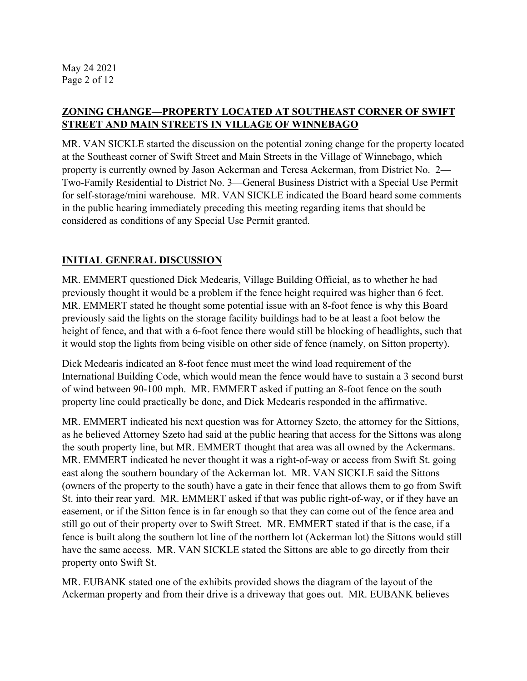### **ZONING CHANGE—PROPERTY LOCATED AT SOUTHEAST CORNER OF SWIFT STREET AND MAIN STREETS IN VILLAGE OF WINNEBAGO**

MR. VAN SICKLE started the discussion on the potential zoning change for the property located at the Southeast corner of Swift Street and Main Streets in the Village of Winnebago, which property is currently owned by Jason Ackerman and Teresa Ackerman, from District No. 2— Two-Family Residential to District No. 3—General Business District with a Special Use Permit for self-storage/mini warehouse. MR. VAN SICKLE indicated the Board heard some comments in the public hearing immediately preceding this meeting regarding items that should be considered as conditions of any Special Use Permit granted.

# **INITIAL GENERAL DISCUSSION**

MR. EMMERT questioned Dick Medearis, Village Building Official, as to whether he had previously thought it would be a problem if the fence height required was higher than 6 feet. MR. EMMERT stated he thought some potential issue with an 8-foot fence is why this Board previously said the lights on the storage facility buildings had to be at least a foot below the height of fence, and that with a 6-foot fence there would still be blocking of headlights, such that it would stop the lights from being visible on other side of fence (namely, on Sitton property).

Dick Medearis indicated an 8-foot fence must meet the wind load requirement of the International Building Code, which would mean the fence would have to sustain a 3 second burst of wind between 90-100 mph. MR. EMMERT asked if putting an 8-foot fence on the south property line could practically be done, and Dick Medearis responded in the affirmative.

MR. EMMERT indicated his next question was for Attorney Szeto, the attorney for the Sittions, as he believed Attorney Szeto had said at the public hearing that access for the Sittons was along the south property line, but MR. EMMERT thought that area was all owned by the Ackermans. MR. EMMERT indicated he never thought it was a right-of-way or access from Swift St. going east along the southern boundary of the Ackerman lot. MR. VAN SICKLE said the Sittons (owners of the property to the south) have a gate in their fence that allows them to go from Swift St. into their rear yard. MR. EMMERT asked if that was public right-of-way, or if they have an easement, or if the Sitton fence is in far enough so that they can come out of the fence area and still go out of their property over to Swift Street. MR. EMMERT stated if that is the case, if a fence is built along the southern lot line of the northern lot (Ackerman lot) the Sittons would still have the same access. MR. VAN SICKLE stated the Sittons are able to go directly from their property onto Swift St.

MR. EUBANK stated one of the exhibits provided shows the diagram of the layout of the Ackerman property and from their drive is a driveway that goes out. MR. EUBANK believes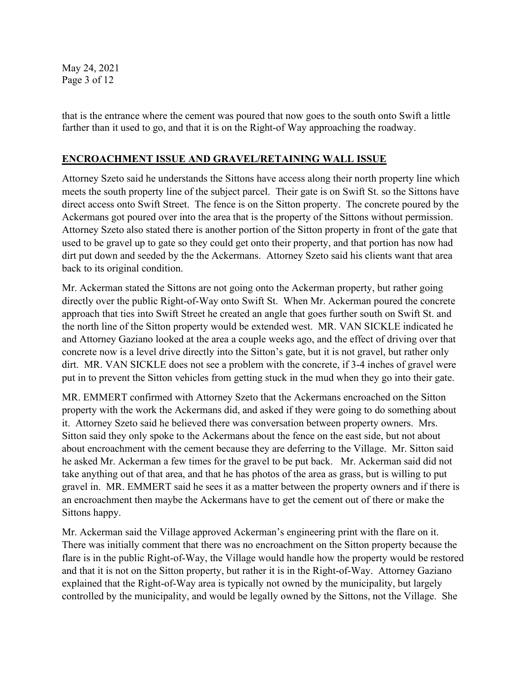May 24, 2021 Page 3 of 12

that is the entrance where the cement was poured that now goes to the south onto Swift a little farther than it used to go, and that it is on the Right-of Way approaching the roadway.

### **ENCROACHMENT ISSUE AND GRAVEL/RETAINING WALL ISSUE**

Attorney Szeto said he understands the Sittons have access along their north property line which meets the south property line of the subject parcel. Their gate is on Swift St. so the Sittons have direct access onto Swift Street. The fence is on the Sitton property. The concrete poured by the Ackermans got poured over into the area that is the property of the Sittons without permission. Attorney Szeto also stated there is another portion of the Sitton property in front of the gate that used to be gravel up to gate so they could get onto their property, and that portion has now had dirt put down and seeded by the the Ackermans. Attorney Szeto said his clients want that area back to its original condition.

Mr. Ackerman stated the Sittons are not going onto the Ackerman property, but rather going directly over the public Right-of-Way onto Swift St. When Mr. Ackerman poured the concrete approach that ties into Swift Street he created an angle that goes further south on Swift St. and the north line of the Sitton property would be extended west. MR. VAN SICKLE indicated he and Attorney Gaziano looked at the area a couple weeks ago, and the effect of driving over that concrete now is a level drive directly into the Sitton's gate, but it is not gravel, but rather only dirt. MR. VAN SICKLE does not see a problem with the concrete, if 3-4 inches of gravel were put in to prevent the Sitton vehicles from getting stuck in the mud when they go into their gate.

MR. EMMERT confirmed with Attorney Szeto that the Ackermans encroached on the Sitton property with the work the Ackermans did, and asked if they were going to do something about it. Attorney Szeto said he believed there was conversation between property owners. Mrs. Sitton said they only spoke to the Ackermans about the fence on the east side, but not about about encroachment with the cement because they are deferring to the Village. Mr. Sitton said he asked Mr. Ackerman a few times for the gravel to be put back. Mr. Ackerman said did not take anything out of that area, and that he has photos of the area as grass, but is willing to put gravel in. MR. EMMERT said he sees it as a matter between the property owners and if there is an encroachment then maybe the Ackermans have to get the cement out of there or make the Sittons happy.

Mr. Ackerman said the Village approved Ackerman's engineering print with the flare on it. There was initially comment that there was no encroachment on the Sitton property because the flare is in the public Right-of-Way, the Village would handle how the property would be restored and that it is not on the Sitton property, but rather it is in the Right-of-Way. Attorney Gaziano explained that the Right-of-Way area is typically not owned by the municipality, but largely controlled by the municipality, and would be legally owned by the Sittons, not the Village. She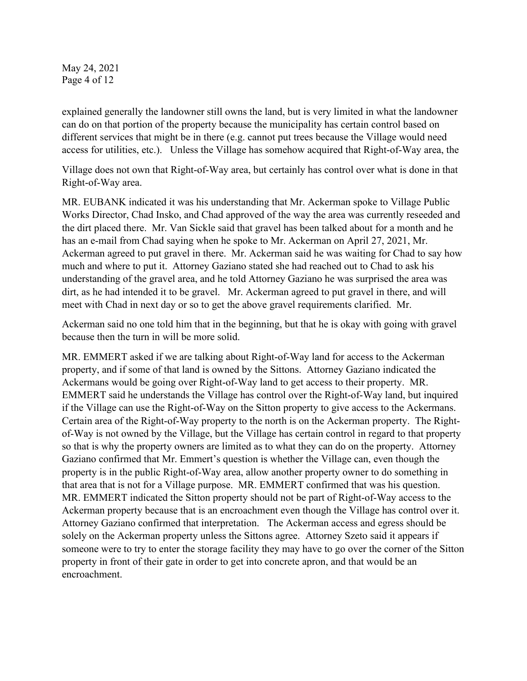May 24, 2021 Page 4 of 12

explained generally the landowner still owns the land, but is very limited in what the landowner can do on that portion of the property because the municipality has certain control based on different services that might be in there (e.g. cannot put trees because the Village would need access for utilities, etc.). Unless the Village has somehow acquired that Right-of-Way area, the

Village does not own that Right-of-Way area, but certainly has control over what is done in that Right-of-Way area.

MR. EUBANK indicated it was his understanding that Mr. Ackerman spoke to Village Public Works Director, Chad Insko, and Chad approved of the way the area was currently reseeded and the dirt placed there. Mr. Van Sickle said that gravel has been talked about for a month and he has an e-mail from Chad saying when he spoke to Mr. Ackerman on April 27, 2021, Mr. Ackerman agreed to put gravel in there. Mr. Ackerman said he was waiting for Chad to say how much and where to put it. Attorney Gaziano stated she had reached out to Chad to ask his understanding of the gravel area, and he told Attorney Gaziano he was surprised the area was dirt, as he had intended it to be gravel. Mr. Ackerman agreed to put gravel in there, and will meet with Chad in next day or so to get the above gravel requirements clarified. Mr.

Ackerman said no one told him that in the beginning, but that he is okay with going with gravel because then the turn in will be more solid.

MR. EMMERT asked if we are talking about Right-of-Way land for access to the Ackerman property, and if some of that land is owned by the Sittons. Attorney Gaziano indicated the Ackermans would be going over Right-of-Way land to get access to their property. MR. EMMERT said he understands the Village has control over the Right-of-Way land, but inquired if the Village can use the Right-of-Way on the Sitton property to give access to the Ackermans. Certain area of the Right-of-Way property to the north is on the Ackerman property. The Rightof-Way is not owned by the Village, but the Village has certain control in regard to that property so that is why the property owners are limited as to what they can do on the property. Attorney Gaziano confirmed that Mr. Emmert's question is whether the Village can, even though the property is in the public Right-of-Way area, allow another property owner to do something in that area that is not for a Village purpose. MR. EMMERT confirmed that was his question. MR. EMMERT indicated the Sitton property should not be part of Right-of-Way access to the Ackerman property because that is an encroachment even though the Village has control over it. Attorney Gaziano confirmed that interpretation. The Ackerman access and egress should be solely on the Ackerman property unless the Sittons agree. Attorney Szeto said it appears if someone were to try to enter the storage facility they may have to go over the corner of the Sitton property in front of their gate in order to get into concrete apron, and that would be an encroachment.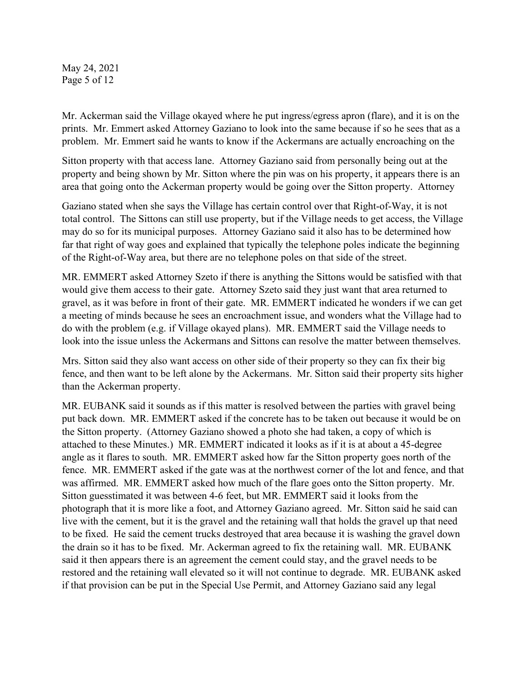May 24, 2021 Page 5 of 12

Mr. Ackerman said the Village okayed where he put ingress/egress apron (flare), and it is on the prints. Mr. Emmert asked Attorney Gaziano to look into the same because if so he sees that as a problem. Mr. Emmert said he wants to know if the Ackermans are actually encroaching on the

Sitton property with that access lane. Attorney Gaziano said from personally being out at the property and being shown by Mr. Sitton where the pin was on his property, it appears there is an area that going onto the Ackerman property would be going over the Sitton property. Attorney

Gaziano stated when she says the Village has certain control over that Right-of-Way, it is not total control. The Sittons can still use property, but if the Village needs to get access, the Village may do so for its municipal purposes. Attorney Gaziano said it also has to be determined how far that right of way goes and explained that typically the telephone poles indicate the beginning of the Right-of-Way area, but there are no telephone poles on that side of the street.

MR. EMMERT asked Attorney Szeto if there is anything the Sittons would be satisfied with that would give them access to their gate. Attorney Szeto said they just want that area returned to gravel, as it was before in front of their gate. MR. EMMERT indicated he wonders if we can get a meeting of minds because he sees an encroachment issue, and wonders what the Village had to do with the problem (e.g. if Village okayed plans). MR. EMMERT said the Village needs to look into the issue unless the Ackermans and Sittons can resolve the matter between themselves.

Mrs. Sitton said they also want access on other side of their property so they can fix their big fence, and then want to be left alone by the Ackermans. Mr. Sitton said their property sits higher than the Ackerman property.

MR. EUBANK said it sounds as if this matter is resolved between the parties with gravel being put back down. MR. EMMERT asked if the concrete has to be taken out because it would be on the Sitton property. (Attorney Gaziano showed a photo she had taken, a copy of which is attached to these Minutes.) MR. EMMERT indicated it looks as if it is at about a 45-degree angle as it flares to south. MR. EMMERT asked how far the Sitton property goes north of the fence. MR. EMMERT asked if the gate was at the northwest corner of the lot and fence, and that was affirmed. MR. EMMERT asked how much of the flare goes onto the Sitton property. Mr. Sitton guesstimated it was between 4-6 feet, but MR. EMMERT said it looks from the photograph that it is more like a foot, and Attorney Gaziano agreed. Mr. Sitton said he said can live with the cement, but it is the gravel and the retaining wall that holds the gravel up that need to be fixed. He said the cement trucks destroyed that area because it is washing the gravel down the drain so it has to be fixed. Mr. Ackerman agreed to fix the retaining wall. MR. EUBANK said it then appears there is an agreement the cement could stay, and the gravel needs to be restored and the retaining wall elevated so it will not continue to degrade. MR. EUBANK asked if that provision can be put in the Special Use Permit, and Attorney Gaziano said any legal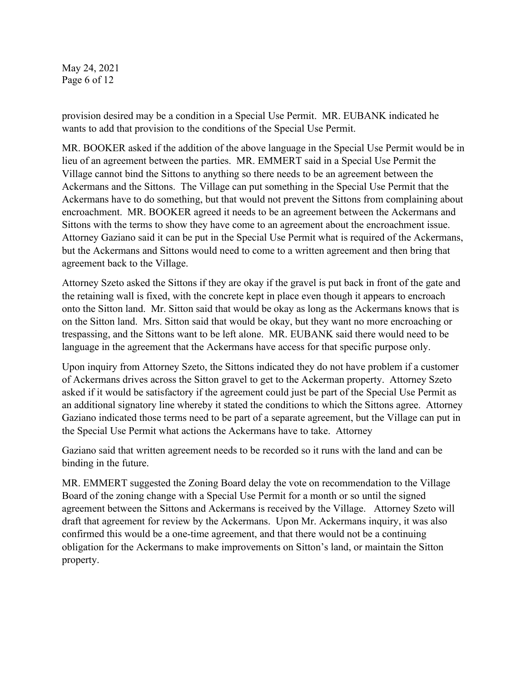May 24, 2021 Page 6 of 12

provision desired may be a condition in a Special Use Permit. MR. EUBANK indicated he wants to add that provision to the conditions of the Special Use Permit.

MR. BOOKER asked if the addition of the above language in the Special Use Permit would be in lieu of an agreement between the parties. MR. EMMERT said in a Special Use Permit the Village cannot bind the Sittons to anything so there needs to be an agreement between the Ackermans and the Sittons. The Village can put something in the Special Use Permit that the Ackermans have to do something, but that would not prevent the Sittons from complaining about encroachment. MR. BOOKER agreed it needs to be an agreement between the Ackermans and Sittons with the terms to show they have come to an agreement about the encroachment issue. Attorney Gaziano said it can be put in the Special Use Permit what is required of the Ackermans, but the Ackermans and Sittons would need to come to a written agreement and then bring that agreement back to the Village.

Attorney Szeto asked the Sittons if they are okay if the gravel is put back in front of the gate and the retaining wall is fixed, with the concrete kept in place even though it appears to encroach onto the Sitton land. Mr. Sitton said that would be okay as long as the Ackermans knows that is on the Sitton land. Mrs. Sitton said that would be okay, but they want no more encroaching or trespassing, and the Sittons want to be left alone. MR. EUBANK said there would need to be language in the agreement that the Ackermans have access for that specific purpose only.

Upon inquiry from Attorney Szeto, the Sittons indicated they do not have problem if a customer of Ackermans drives across the Sitton gravel to get to the Ackerman property. Attorney Szeto asked if it would be satisfactory if the agreement could just be part of the Special Use Permit as an additional signatory line whereby it stated the conditions to which the Sittons agree. Attorney Gaziano indicated those terms need to be part of a separate agreement, but the Village can put in the Special Use Permit what actions the Ackermans have to take. Attorney

Gaziano said that written agreement needs to be recorded so it runs with the land and can be binding in the future.

MR. EMMERT suggested the Zoning Board delay the vote on recommendation to the Village Board of the zoning change with a Special Use Permit for a month or so until the signed agreement between the Sittons and Ackermans is received by the Village. Attorney Szeto will draft that agreement for review by the Ackermans. Upon Mr. Ackermans inquiry, it was also confirmed this would be a one-time agreement, and that there would not be a continuing obligation for the Ackermans to make improvements on Sitton's land, or maintain the Sitton property.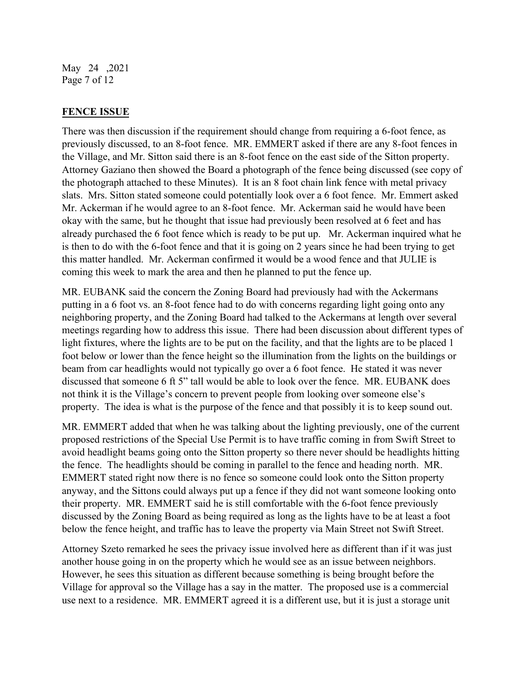May 24 ,2021 Page 7 of 12

### **FENCE ISSUE**

There was then discussion if the requirement should change from requiring a 6-foot fence, as previously discussed, to an 8-foot fence. MR. EMMERT asked if there are any 8-foot fences in the Village, and Mr. Sitton said there is an 8-foot fence on the east side of the Sitton property. Attorney Gaziano then showed the Board a photograph of the fence being discussed (see copy of the photograph attached to these Minutes). It is an 8 foot chain link fence with metal privacy slats. Mrs. Sitton stated someone could potentially look over a 6 foot fence. Mr. Emmert asked Mr. Ackerman if he would agree to an 8-foot fence. Mr. Ackerman said he would have been okay with the same, but he thought that issue had previously been resolved at 6 feet and has already purchased the 6 foot fence which is ready to be put up. Mr. Ackerman inquired what he is then to do with the 6-foot fence and that it is going on 2 years since he had been trying to get this matter handled. Mr. Ackerman confirmed it would be a wood fence and that JULIE is coming this week to mark the area and then he planned to put the fence up.

MR. EUBANK said the concern the Zoning Board had previously had with the Ackermans putting in a 6 foot vs. an 8-foot fence had to do with concerns regarding light going onto any neighboring property, and the Zoning Board had talked to the Ackermans at length over several meetings regarding how to address this issue. There had been discussion about different types of light fixtures, where the lights are to be put on the facility, and that the lights are to be placed 1 foot below or lower than the fence height so the illumination from the lights on the buildings or beam from car headlights would not typically go over a 6 foot fence. He stated it was never discussed that someone 6 ft 5" tall would be able to look over the fence. MR. EUBANK does not think it is the Village's concern to prevent people from looking over someone else's property. The idea is what is the purpose of the fence and that possibly it is to keep sound out.

MR. EMMERT added that when he was talking about the lighting previously, one of the current proposed restrictions of the Special Use Permit is to have traffic coming in from Swift Street to avoid headlight beams going onto the Sitton property so there never should be headlights hitting the fence. The headlights should be coming in parallel to the fence and heading north. MR. EMMERT stated right now there is no fence so someone could look onto the Sitton property anyway, and the Sittons could always put up a fence if they did not want someone looking onto their property. MR. EMMERT said he is still comfortable with the 6-foot fence previously discussed by the Zoning Board as being required as long as the lights have to be at least a foot below the fence height, and traffic has to leave the property via Main Street not Swift Street.

Attorney Szeto remarked he sees the privacy issue involved here as different than if it was just another house going in on the property which he would see as an issue between neighbors. However, he sees this situation as different because something is being brought before the Village for approval so the Village has a say in the matter. The proposed use is a commercial use next to a residence. MR. EMMERT agreed it is a different use, but it is just a storage unit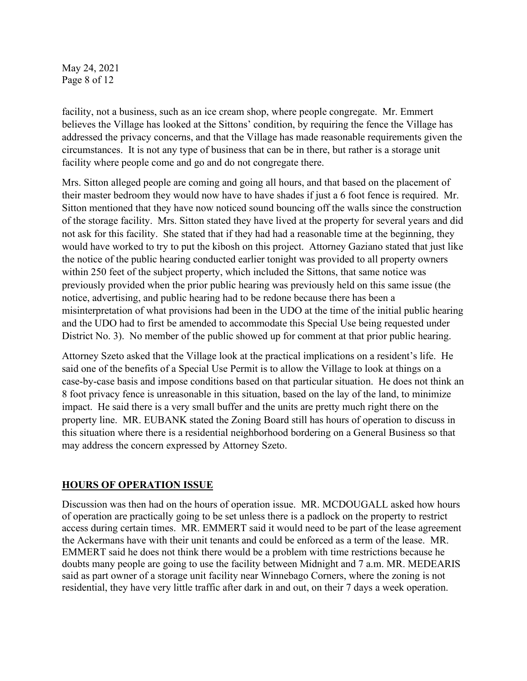May 24, 2021 Page 8 of 12

facility, not a business, such as an ice cream shop, where people congregate. Mr. Emmert believes the Village has looked at the Sittons' condition, by requiring the fence the Village has addressed the privacy concerns, and that the Village has made reasonable requirements given the circumstances. It is not any type of business that can be in there, but rather is a storage unit facility where people come and go and do not congregate there.

Mrs. Sitton alleged people are coming and going all hours, and that based on the placement of their master bedroom they would now have to have shades if just a 6 foot fence is required. Mr. Sitton mentioned that they have now noticed sound bouncing off the walls since the construction of the storage facility. Mrs. Sitton stated they have lived at the property for several years and did not ask for this facility. She stated that if they had had a reasonable time at the beginning, they would have worked to try to put the kibosh on this project. Attorney Gaziano stated that just like the notice of the public hearing conducted earlier tonight was provided to all property owners within 250 feet of the subject property, which included the Sittons, that same notice was previously provided when the prior public hearing was previously held on this same issue (the notice, advertising, and public hearing had to be redone because there has been a misinterpretation of what provisions had been in the UDO at the time of the initial public hearing and the UDO had to first be amended to accommodate this Special Use being requested under District No. 3). No member of the public showed up for comment at that prior public hearing.

Attorney Szeto asked that the Village look at the practical implications on a resident's life. He said one of the benefits of a Special Use Permit is to allow the Village to look at things on a case-by-case basis and impose conditions based on that particular situation. He does not think an 8 foot privacy fence is unreasonable in this situation, based on the lay of the land, to minimize impact. He said there is a very small buffer and the units are pretty much right there on the property line. MR. EUBANK stated the Zoning Board still has hours of operation to discuss in this situation where there is a residential neighborhood bordering on a General Business so that may address the concern expressed by Attorney Szeto.

#### **HOURS OF OPERATION ISSUE**

Discussion was then had on the hours of operation issue. MR. MCDOUGALL asked how hours of operation are practically going to be set unless there is a padlock on the property to restrict access during certain times. MR. EMMERT said it would need to be part of the lease agreement the Ackermans have with their unit tenants and could be enforced as a term of the lease. MR. EMMERT said he does not think there would be a problem with time restrictions because he doubts many people are going to use the facility between Midnight and 7 a.m. MR. MEDEARIS said as part owner of a storage unit facility near Winnebago Corners, where the zoning is not residential, they have very little traffic after dark in and out, on their 7 days a week operation.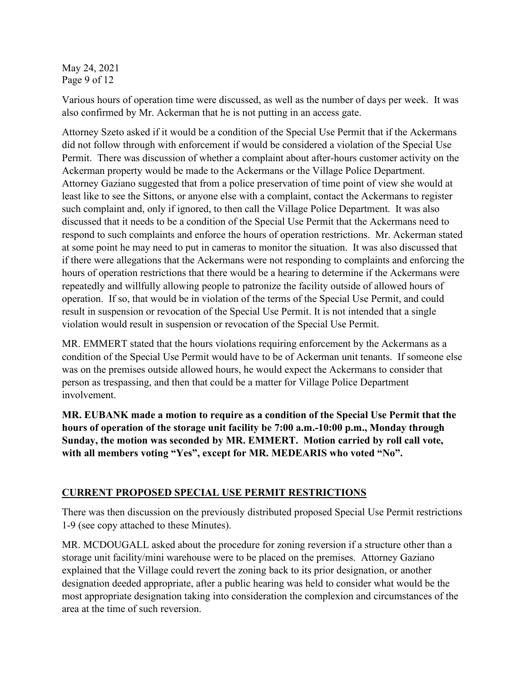May 24, 2021 Page 9 of 12

Various hours of operation time were discussed, as well as the number of days per week. It was also confirmed by Mr. Ackerman that he is not putting in an access gate.

Attorney Szeto asked if it would be a condition of the Special Use Permit that if the Ackermans did not follow through with enforcement if would be considered a violation of the Special Use Permit. There was discussion of whether a complaint about after-hours customer activity on the Ackerman property would be made to the Ackermans or the Village Police Department. Attorney Gaziano suggested that from a police preservation of time point of view she would at least like to see the Sittons, or anyone else with a complaint, contact the Ackermans to register such complaint and, only if ignored, to then call the Village Police Department. It was also discussed that it needs to be a condition of the Special Use Permit that the Ackermans need to respond to such complaints and enforce the hours of operation restrictions. Mr. Ackerman stated at some point he may need to put in cameras to monitor the situation. It was also discussed that if there were allegations that the Ackermans were not responding to complaints and enforcing the hours of operation restrictions that there would be a hearing to determine if the Ackermans were repeatedly and willfully allowing people to patronize the facility outside of allowed hours of operation. If so, that would be in violation of the terms of the Special Use Permit, and could result in suspension or revocation of the Special Use Permit. It is not intended that a single violation would result in suspension or revocation of the Special Use Permit.

MR. EMMERT stated that the hours violations requiring enforcement by the Ackermans as a condition of the Special Use Permit would have to be of Ackerman unit tenants. If someone else was on the premises outside allowed hours, he would expect the Ackermans to consider that person as trespassing, and then that could be a matter for Village Police Department involvement.

**MR. EUBANK made a motion to require as a condition of the Special Use Permit that the hours of operation of the storage unit facility be 7:00 a.m.-10:00 p.m., Monday through Sunday, the motion was seconded by MR. EMMERT. Motion carried by roll call vote, with all members voting "Yes", except for MR. MEDEARIS who voted "No".** 

# **CURRENT PROPOSED SPECIAL USE PERMIT RESTRICTIONS**

There was then discussion on the previously distributed proposed Special Use Permit restrictions 1-9 (see copy attached to these Minutes).

MR. MCDOUGALL asked about the procedure for zoning reversion if a structure other than a storage unit facility/mini warehouse were to be placed on the premises. Attorney Gaziano explained that the Village could revert the zoning back to its prior designation, or another designation deeded appropriate, after a public hearing was held to consider what would be the most appropriate designation taking into consideration the complexion and circumstances of the area at the time of such reversion.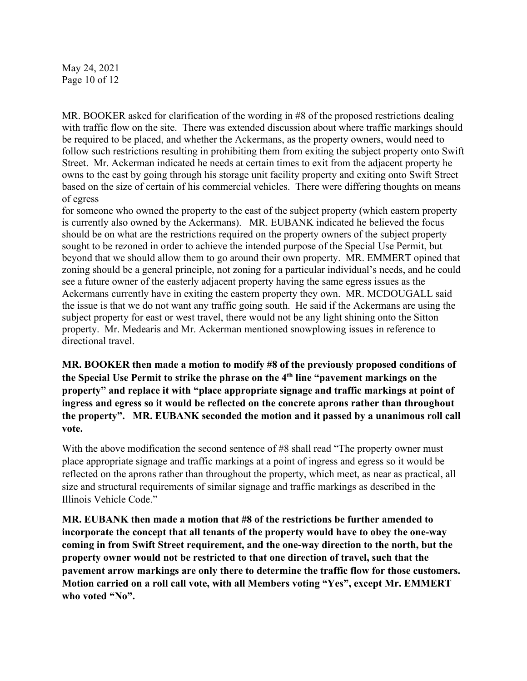May 24, 2021 Page 10 of 12

MR. BOOKER asked for clarification of the wording in #8 of the proposed restrictions dealing with traffic flow on the site. There was extended discussion about where traffic markings should be required to be placed, and whether the Ackermans, as the property owners, would need to follow such restrictions resulting in prohibiting them from exiting the subject property onto Swift Street. Mr. Ackerman indicated he needs at certain times to exit from the adjacent property he owns to the east by going through his storage unit facility property and exiting onto Swift Street based on the size of certain of his commercial vehicles. There were differing thoughts on means of egress

for someone who owned the property to the east of the subject property (which eastern property is currently also owned by the Ackermans). MR. EUBANK indicated he believed the focus should be on what are the restrictions required on the property owners of the subject property sought to be rezoned in order to achieve the intended purpose of the Special Use Permit, but beyond that we should allow them to go around their own property. MR. EMMERT opined that zoning should be a general principle, not zoning for a particular individual's needs, and he could see a future owner of the easterly adjacent property having the same egress issues as the Ackermans currently have in exiting the eastern property they own. MR. MCDOUGALL said the issue is that we do not want any traffic going south. He said if the Ackermans are using the subject property for east or west travel, there would not be any light shining onto the Sitton property. Mr. Medearis and Mr. Ackerman mentioned snowplowing issues in reference to directional travel.

**MR. BOOKER then made a motion to modify #8 of the previously proposed conditions of the Special Use Permit to strike the phrase on the 4th line "pavement markings on the property" and replace it with "place appropriate signage and traffic markings at point of ingress and egress so it would be reflected on the concrete aprons rather than throughout the property". MR. EUBANK seconded the motion and it passed by a unanimous roll call vote.** 

With the above modification the second sentence of #8 shall read "The property owner must" place appropriate signage and traffic markings at a point of ingress and egress so it would be reflected on the aprons rather than throughout the property, which meet, as near as practical, all size and structural requirements of similar signage and traffic markings as described in the Illinois Vehicle Code."

**MR. EUBANK then made a motion that #8 of the restrictions be further amended to incorporate the concept that all tenants of the property would have to obey the one-way coming in from Swift Street requirement, and the one-way direction to the north, but the property owner would not be restricted to that one direction of travel, such that the pavement arrow markings are only there to determine the traffic flow for those customers. Motion carried on a roll call vote, with all Members voting "Yes", except Mr. EMMERT who voted "No".**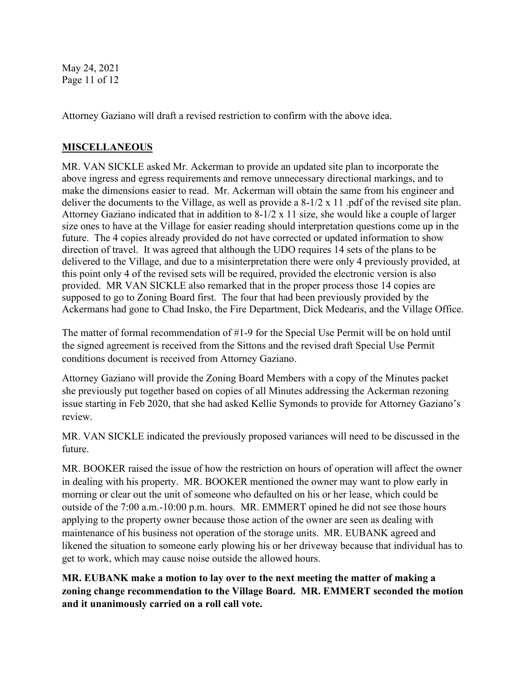May 24, 2021 Page 11 of 12

Attorney Gaziano will draft a revised restriction to confirm with the above idea.

### **MISCELLANEOUS**

MR. VAN SICKLE asked Mr. Ackerman to provide an updated site plan to incorporate the above ingress and egress requirements and remove unnecessary directional markings, and to make the dimensions easier to read. Mr. Ackerman will obtain the same from his engineer and deliver the documents to the Village, as well as provide a 8-1/2 x 11 .pdf of the revised site plan. Attorney Gaziano indicated that in addition to 8-1/2 x 11 size, she would like a couple of larger size ones to have at the Village for easier reading should interpretation questions come up in the future. The 4 copies already provided do not have corrected or updated information to show direction of travel. It was agreed that although the UDO requires 14 sets of the plans to be delivered to the Village, and due to a misinterpretation there were only 4 previously provided, at this point only 4 of the revised sets will be required, provided the electronic version is also provided. MR VAN SICKLE also remarked that in the proper process those 14 copies are supposed to go to Zoning Board first. The four that had been previously provided by the Ackermans had gone to Chad Insko, the Fire Department, Dick Medearis, and the Village Office.

The matter of formal recommendation of #1-9 for the Special Use Permit will be on hold until the signed agreement is received from the Sittons and the revised draft Special Use Permit conditions document is received from Attorney Gaziano.

Attorney Gaziano will provide the Zoning Board Members with a copy of the Minutes packet she previously put together based on copies of all Minutes addressing the Ackerman rezoning issue starting in Feb 2020, that she had asked Kellie Symonds to provide for Attorney Gaziano's review.

MR. VAN SICKLE indicated the previously proposed variances will need to be discussed in the future.

MR. BOOKER raised the issue of how the restriction on hours of operation will affect the owner in dealing with his property. MR. BOOKER mentioned the owner may want to plow early in morning or clear out the unit of someone who defaulted on his or her lease, which could be outside of the 7:00 a.m.-10:00 p.m. hours. MR. EMMERT opined he did not see those hours applying to the property owner because those action of the owner are seen as dealing with maintenance of his business not operation of the storage units. MR. EUBANK agreed and likened the situation to someone early plowing his or her driveway because that individual has to get to work, which may cause noise outside the allowed hours.

**MR. EUBANK make a motion to lay over to the next meeting the matter of making a zoning change recommendation to the Village Board. MR. EMMERT seconded the motion and it unanimously carried on a roll call vote.**